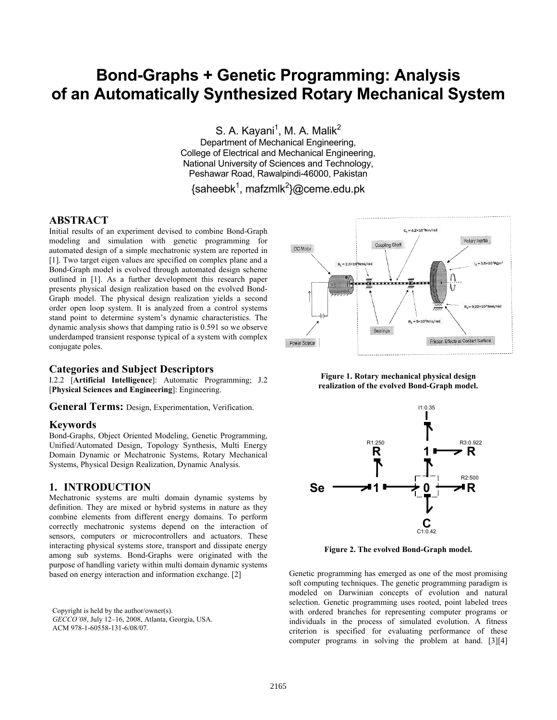# **Bond-Graphs + Genetic Programming: Analysis of an Automatically Synthesized Rotary Mechanical System**

S. A. Kayani<sup>1</sup>, M. A. Malik<sup>2</sup>

Department of Mechanical Engineering, College of Electrical and Mechanical Engineering, National University of Sciences and Technology, Peshawar Road, Rawalpindi-46000, Pakistan

{saheebk<sup>1</sup>, mafzmlk<sup>2</sup>}@ceme.edu.pk

# **ABSTRACT**

Initial results of an experiment devised to combine Bond-Graph modeling and simulation with genetic programming for automated design of a simple mechatronic system are reported in [1]. Two target eigen values are specified on complex plane and a Bond-Graph model is evolved through automated design scheme outlined in [1]. As a further development this research paper presents physical design realization based on the evolved Bond-Graph model. The physical design realization yields a second order open loop system. It is analyzed from a control systems stand point to determine system's dynamic characteristics. The dynamic analysis shows that damping ratio is 0.591 so we observe underdamped transient response typical of a system with complex conjugate poles.

## **Categories and Subject Descriptors**

I.2.2 [**Artificial Intelligence**]: Automatic Programming; J.2 [**Physical Sciences and Engineering**]: Engineering.

**General Terms:** Design, Experimentation, Verification.

## **Keywords**

Bond-Graphs, Object Oriented Modeling, Genetic Programming, Unified/Automated Design, Topology Synthesis, Multi Energy Domain Dynamic or Mechatronic Systems, Rotary Mechanical Systems, Physical Design Realization, Dynamic Analysis.

#### **1. INTRODUCTION**

Mechatronic systems are multi domain dynamic systems by definition. They are mixed or hybrid systems in nature as they combine elements from different energy domains. To perform correctly mechatronic systems depend on the interaction of sensors, computers or microcontrollers and actuators. These interacting physical systems store, transport and dissipate energy among sub systems. Bond-Graphs were originated with the purpose of handling variety within multi domain dynamic systems based on energy interaction and information exchange. [2]

Copyright is held by the author/owner(s). *GECCO'08*, July 12–16, 2008, Atlanta, Georgia, USA. ACM 978-1-60558-131-6/08/07.







**Figure 2. The evolved Bond-Graph model.** 

Genetic programming has emerged as one of the most promising soft computing techniques. The genetic programming paradigm is modeled on Darwinian concepts of evolution and natural selection. Genetic programming uses rooted, point labeled trees with ordered branches for representing computer programs or individuals in the process of simulated evolution. A fitness criterion is specified for evaluating performance of these computer programs in solving the problem at hand. [3][4]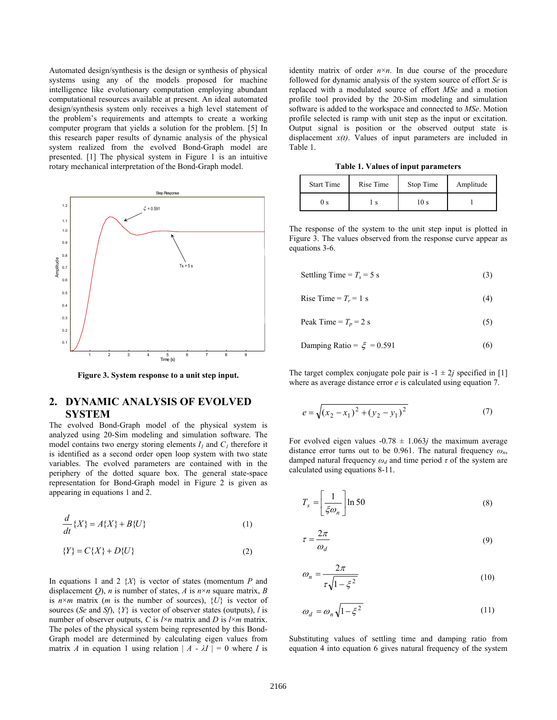Automated design/synthesis is the design or synthesis of physical systems using any of the models proposed for machine intelligence like evolutionary computation employing abundant computational resources available at present. An ideal automated design/synthesis system only receives a high level statement of the problem's requirements and attempts to create a working computer program that yields a solution for the problem. [5] In this research paper results of dynamic analysis of the physical system realized from the evolved Bond-Graph model are presented. [1] The physical system in Figure 1 is an intuitive rotary mechanical interpretation of the Bond-Graph model.



**Figure 3. System response to a unit step input.** 

# **2. DYNAMIC ANALYSIS OF EVOLVED SYSTEM**

The evolved Bond-Graph model of the physical system is analyzed using 20-Sim modeling and simulation software. The model contains two energy storing elements  $I_l$  and  $C_l$  therefore it is identified as a second order open loop system with two state variables. The evolved parameters are contained with in the periphery of the dotted square box. The general state-space representation for Bond-Graph model in Figure 2 is given as appearing in equations 1 and 2.

$$
\frac{d}{dt}\left\{X\right\} = A\{X\} + B\{U\} \tag{1}
$$

$$
\{Y\} = C\{X\} + D\{U\}
$$
\n<sup>(2)</sup>

In equations 1 and 2 {*X*} is vector of states (momentum *P* and displacement *Q*), *n* is number of states, *A* is  $n \times n$  square matrix, *B* is  $n \times m$  matrix (*m* is the number of sources),  $\{U\}$  is vector of sources (*Se* and *Sf*), {*Y*} is vector of observer states (outputs), *l* is number of observer outputs, *C* is  $l \times n$  matrix and *D* is  $l \times m$  matrix. The poles of the physical system being represented by this Bond-Graph model are determined by calculating eigen values from matrix *A* in equation 1 using relation  $| A - \lambda I | = 0$  where *I* is

identity matrix of order  $n \times n$ . In due course of the procedure followed for dynamic analysis of the system source of effort *Se* is replaced with a modulated source of effort *MSe* and a motion profile tool provided by the 20-Sim modeling and simulation software is added to the workspace and connected to *MSe*. Motion profile selected is ramp with unit step as the input or excitation. Output signal is position or the observed output state is displacement *x(t)*. Values of input parameters are included in Table 1.

**Table 1. Values of input parameters** 

| <b>Start Time</b> | Rise Time | Stop Time | Amplitude |
|-------------------|-----------|-----------|-----------|
| ) s               |           | 10 s      |           |

The response of the system to the unit step input is plotted in Figure 3. The values observed from the response curve appear as equations 3-6.

Setting Time = 
$$
T_s = 5 \text{ s}
$$
 (3)

$$
Rise Time = T_r = 1 s
$$
 (4)

Peak Time =  $T_p$  = 2 s (5)

$$
Damping Ratio = \xi = 0.591 \tag{6}
$$

The target complex conjugate pole pair is  $-1 \pm 2j$  specified in [1] where as average distance error *e* is calculated using equation 7.

$$
e = \sqrt{(x_2 - x_1)^2 + (y_2 - y_1)^2}
$$
 (7)

For evolved eigen values  $-0.78 \pm 1.063$ *j* the maximum average distance error turns out to be 0.961. The natural frequency *ωn*, damped natural frequency  $\omega_d$  and time period  $\tau$  of the system are calculated using equations 8-11.

$$
T_s = \left[\frac{1}{\xi \omega_n}\right] \ln 50\tag{8}
$$

$$
\tau = \frac{2\pi}{\omega_d} \tag{9}
$$

$$
\omega_n = \frac{2\pi}{\tau \sqrt{1 - \xi^2}}\tag{10}
$$

$$
\omega_d = \omega_n \sqrt{1 - \xi^2} \tag{11}
$$

Substituting values of settling time and damping ratio from equation 4 into equation 6 gives natural frequency of the system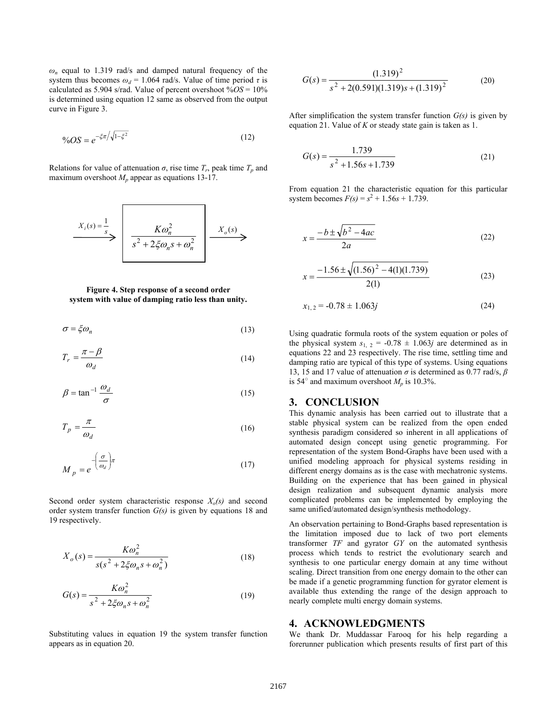$\omega_n$  equal to 1.319 rad/s and damped natural frequency of the system thus becomes  $\omega_d = 1.064$  rad/s. Value of time period  $\tau$  is calculated as 5.904 s/rad. Value of percent overshoot  $\sqrt{6}$ *OS* = 10% is determined using equation 12 same as observed from the output curve in Figure 3.

$$
\%OS = e^{-\xi \pi / \sqrt{1 - \xi^2}} \tag{12}
$$

Relations for value of attenuation  $\sigma$ , rise time  $T_r$ , peak time  $T_p$  and maximum overshoot  $M<sub>n</sub>$  appear as equations 13-17.

$$
X_i(s) = \frac{1}{s}
$$
\n
$$
\longrightarrow \left( \frac{K\omega_n^2}{s^2 + 2\xi\omega_n s + \omega_n^2} \right) \xrightarrow{X_o(s)}
$$

#### **Figure 4. Step response of a second order system with value of damping ratio less than unity.**

$$
\sigma = \xi \omega_n \tag{13}
$$

$$
T_r = \frac{\pi - \beta}{\omega_d} \tag{14}
$$

$$
\beta = \tan^{-1} \frac{\omega_d}{\sigma} \tag{15}
$$

$$
T_p = \frac{\pi}{\omega_d} \tag{16}
$$

$$
M_p = e^{-\left(\frac{\sigma}{\omega_d}\right)\pi} \tag{17}
$$

Second order system characteristic response  $X_o(s)$  and second order system transfer function *G(s)* is given by equations 18 and 19 respectively.

$$
X_o(s) = \frac{K\omega_n^2}{s(s^2 + 2\xi\omega_n s + \omega_n^2)}
$$
(18)

$$
G(s) = \frac{K\omega_n^2}{s^2 + 2\xi\omega_n s + \omega_n^2}
$$
 (19)

Substituting values in equation 19 the system transfer function appears as in equation 20.

$$
G(s) = \frac{(1.319)^2}{s^2 + 2(0.591)(1.319)s + (1.319)^2}
$$
 (20)

After simplification the system transfer function *G(s)* is given by equation 21. Value of *K* or steady state gain is taken as 1.

$$
G(s) = \frac{1.739}{s^2 + 1.56s + 1.739}
$$
 (21)

From equation 21 the characteristic equation for this particular system becomes  $F(s) = s^2 + 1.56s + 1.739$ .

$$
x = \frac{-b \pm \sqrt{b^2 - 4ac}}{2a} \tag{22}
$$

$$
x = \frac{-1.56 \pm \sqrt{(1.56)^2 - 4(1)(1.739)}}{2(1)}
$$
(23)

$$
x_{1,2} = -0.78 \pm 1.063j \tag{24}
$$

Using quadratic formula roots of the system equation or poles of the physical system  $s_1$ ,  $_2$  = -0.78  $\pm$  1.063*j* are determined as in equations 22 and 23 respectively. The rise time, settling time and damping ratio are typical of this type of systems. Using equations 13, 15 and 17 value of attenuation *σ* is determined as 0.77 rad/s, *β* is 54 $^{\circ}$  and maximum overshoot  $M_p$  is 10.3%.

#### **3. CONCLUSION**

This dynamic analysis has been carried out to illustrate that a stable physical system can be realized from the open ended synthesis paradigm considered so inherent in all applications of automated design concept using genetic programming. For representation of the system Bond-Graphs have been used with a unified modeling approach for physical systems residing in different energy domains as is the case with mechatronic systems. Building on the experience that has been gained in physical design realization and subsequent dynamic analysis more complicated problems can be implemented by employing the same unified/automated design/synthesis methodology.

An observation pertaining to Bond-Graphs based representation is the limitation imposed due to lack of two port elements transformer *TF* and gyrator *GY* on the automated synthesis process which tends to restrict the evolutionary search and synthesis to one particular energy domain at any time without scaling. Direct transition from one energy domain to the other can be made if a genetic programming function for gyrator element is available thus extending the range of the design approach to nearly complete multi energy domain systems.

#### **4. ACKNOWLEDGMENTS**

We thank Dr. Muddassar Farooq for his help regarding a forerunner publication which presents results of first part of this